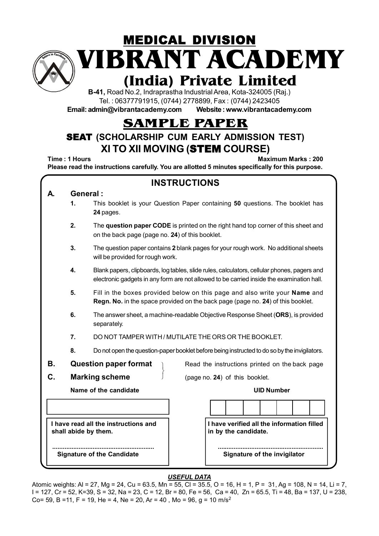

**VIBRANT ACADEMY** MEDICAL DIVISION

# **(India) Private Limited**

**B-41,** Road No.2, Indraprastha Industrial Area, Kota-324005 (Raj.) Tel. : 06377791915, (0744) 2778899, Fax : (0744) 2423405

**Email: admin@vibrantacademy.com Website : www.vibrantacademy.com**

## **SAMPLE PAPER**

## SEAT **(SCHOLARSHIP CUM EARLY ADMISSION TEST) XI TO XII MOVING (**STEM **COURSE)**

**Time : 1 Hours Maximum Marks : 200 Please read the instructions carefully. You are allotted 5 minutes specifically for this purpose.**

| <b>INSTRUCTIONS</b>                                                                                                                                                                            |    |                                                                                                                                                               |  |  |  |  |  |  |  |
|------------------------------------------------------------------------------------------------------------------------------------------------------------------------------------------------|----|---------------------------------------------------------------------------------------------------------------------------------------------------------------|--|--|--|--|--|--|--|
| General:<br>А.                                                                                                                                                                                 |    |                                                                                                                                                               |  |  |  |  |  |  |  |
|                                                                                                                                                                                                | 1. | This booklet is your Question Paper containing 50 questions. The booklet has<br>24 pages.                                                                     |  |  |  |  |  |  |  |
| 2.<br>The question paper CODE is printed on the right hand top corner of this sheet and<br>on the back page (page no. 24) of this booklet.                                                     |    |                                                                                                                                                               |  |  |  |  |  |  |  |
|                                                                                                                                                                                                | 3. | The question paper contains 2 blank pages for your rough work. No additional sheets<br>will be provided for rough work.                                       |  |  |  |  |  |  |  |
| 4.<br>Blank papers, clipboards, log tables, slide rules, calculators, cellular phones, pagers and<br>electronic gadgets in any form are not allowed to be carried inside the examination hall. |    |                                                                                                                                                               |  |  |  |  |  |  |  |
|                                                                                                                                                                                                | 5. | Fill in the boxes provided below on this page and also write your Name and<br>Regn. No. in the space provided on the back page (page no. 24) of this booklet. |  |  |  |  |  |  |  |
| 6.<br>The answer sheet, a machine-readable Objective Response Sheet (ORS), is provided<br>separately.                                                                                          |    |                                                                                                                                                               |  |  |  |  |  |  |  |
|                                                                                                                                                                                                | 7. | DO NOT TAMPER WITH / MUTILATE THE ORS OR THE BOOKLET.                                                                                                         |  |  |  |  |  |  |  |
|                                                                                                                                                                                                | 8. | Do not open the question-paper booklet before being instructed to do so by the invigilators.                                                                  |  |  |  |  |  |  |  |
| В.                                                                                                                                                                                             |    | <b>Question paper format</b><br>Read the instructions printed on the back page                                                                                |  |  |  |  |  |  |  |
| C.                                                                                                                                                                                             |    | <b>Marking scheme</b><br>(page no. 24) of this booklet.                                                                                                       |  |  |  |  |  |  |  |
|                                                                                                                                                                                                |    | Name of the candidate<br><b>UID Number</b>                                                                                                                    |  |  |  |  |  |  |  |
|                                                                                                                                                                                                |    |                                                                                                                                                               |  |  |  |  |  |  |  |
|                                                                                                                                                                                                |    | I have verified all the information filled<br>I have read all the instructions and<br>shall abide by them.<br>in by the candidate.                            |  |  |  |  |  |  |  |
|                                                                                                                                                                                                |    | <b>Signature of the Candidate</b><br>Signature of the invigilator                                                                                             |  |  |  |  |  |  |  |

### *USEFUL DATA*

Atomic weights: Al = 27, Mg = 24, Cu = 63.5, Mn = 55, Cl = 35.5, O = 16, H = 1, P = 31, Ag = 108, N = 14, Li = 7, I = 127, Cr = 52, K=39, S = 32, Na = 23, C = 12, Br = 80, Fe = 56, Ca = 40, Zn = 65.5, Ti = 48, Ba = 137, U = 238, Co= 59, B =11, F = 19, He = 4, Ne = 20, Ar = 40, Mo = 96, q = 10 m/s<sup>2</sup>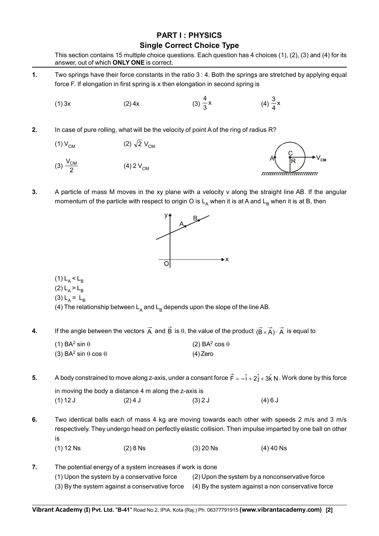### **PART I : PHYSICS Single Correct Choice Type**

This section contains 15 multiple choice questions. Each question has 4 choices (1), (2), (3) and (4) for its

|                                                                                                                                                                                                      |                        | answer, out of which <b>ONLY ONE</b> is correct. |                   |                    |  |  |  |
|------------------------------------------------------------------------------------------------------------------------------------------------------------------------------------------------------|------------------------|--------------------------------------------------|-------------------|--------------------|--|--|--|
| 1.<br>Two springs have their force constants in the ratio 3 : 4. Both the springs are stretched by applying equal<br>force F. If elongation in first spring is x then elongation in second spring is |                        |                                                  |                   |                    |  |  |  |
|                                                                                                                                                                                                      | (1) 3x                 | (2) 4x                                           | $(3)\frac{4}{3}x$ | (4) $\frac{3}{4}x$ |  |  |  |
| 2.<br>In case of pure rolling, what will be the velocity of point A of the ring of radius R?                                                                                                         |                        |                                                  |                   |                    |  |  |  |
|                                                                                                                                                                                                      | $(1) V_{CM}$           | (2) $\sqrt{2}$ V <sub>CM</sub>                   |                   |                    |  |  |  |
|                                                                                                                                                                                                      | (3) $\frac{V_{CM}}{2}$ | (4) 2 $V_{CM}$                                   |                   |                    |  |  |  |
|                                                                                                                                                                                                      |                        |                                                  |                   |                    |  |  |  |

**3.** A particle of mass M moves in the xy plane with a velocity v along the straight line AB. If the angular momentum of the particle with respect to origin O is  $L_A$  when it is at A and  $L_B$  when it is at B, then



(1)  $L_A < L_B$ 

$$
(2) LA > LB
$$

(3)  $L_A = L_B$ 

(4) The relationship between  $L_A$  and  $L_B$  depends upon the slope of the line AB.

**4.** If the angle between the vectors  $\vec{A}$  and  $\vec{B}$  is  $\theta$ , the value of the product  $(\vec{B} \times \vec{A}) \cdot \vec{A}$  is equal to

| (1) BA <sup>2</sup> sin $\theta$              | (2) BA <sup>2</sup> cos $\theta$ |
|-----------------------------------------------|----------------------------------|
| (3) BA <sup>2</sup> sin $\theta$ cos $\theta$ | $(4)$ Zero                       |

**5.** A body constrained to move along z-axis, under a consant force  $\vec{F} = -\hat{i} + 2\hat{j} + 3\hat{k}$  N . Work done by this force in moving the body a distance 4 m along the z-axis is (1) 12 J (2) 4 J (3) 2 J (4) 6 J

**6.** Two identical balls each of mass 4 kg are moving towards each other with speeds 2 m/s and 3 m/s respectively. They undergo head on perfectly elastic collision. Then impulse imparted by one ball on other is (1) 12 Ns (2) 8 Ns (3) 20 Ns (4) 40 Ns

**7.** The potential energy of a system increases if work is done (1) Upon the system by a conservative force (2) Upon the system by a nonconservative force (3) By the system against a conservative force (4) By the system against a non conservative force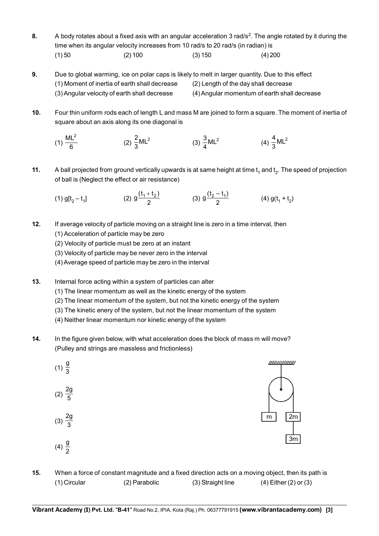- **8.** A body rotates about a fixed axis with an angular acceleration 3 rad/s<sup>2</sup>. The angle rotated by it during the time when its angular velocity increases from 10 rad/s to 20 rad/s (in radian) is (1) 50 (2) 100 (3) 150 (4) 200
- **9.** Due to global warming, ice on polar caps is likely to melt in larger quantity. Due to this effect (1) Moment of inertia of earth shall decrease (2) Length of the day shall decrease (3) Angular velocity of earth shall decrease (4) Angular momentum of earth shall decrease
- **10.** Four thin uniform rods each of length L and mass M are joined to form a square. The moment of inertia of square about an axis along its one diagonal is

(1) 
$$
\frac{ML^2}{6}
$$
 (2)  $\frac{2}{3}ML^2$  (3)  $\frac{3}{4}ML^2$  (4)  $\frac{4}{3}ML^2$ 

- **11.** A ball projected from ground vertically upwards is at same height at time  $t_1$  and  $t_2$ . The speed of projection of ball is (Neglect the effect or air resistance)
	- (1)  $g[t_2 t_1]$  $g\frac{(t_1 + t_2)}{2}$  (3)  $g\frac{(t_2 - t_1)}{2}$  (4)  $g(t_1 + t_2)$
- **12.** If average velocity of particle moving on a straight line is zero in a time interval, then
	- (1) Acceleration of particle may be zero
	- (2) Velocity of particle must be zero at an instant
	- (3) Velocity of particle may be never zero in the interval
	- (4) Average speed of particle may be zero in the interval
- **13.** Internal force acting within a system of particles can alter
	- (1) The linear momentum as well as the kinetic energy of the system
	- (2) The linear momentum of the system, but not the kinetic energy of the system
	- (3) The kinetic enery of the system, but not the linear momentum of the system
	- (4) Neither linear momentum nor kinetic energy of the system
- **14.** In the figure given below, with what acceleration does the block of mass m will move? (Pulley and strings are massless and frictionless)



**15.** When a force of constant magnitude and a fixed direction acts on a moving object, then its path is (1) Circular (2) Parabolic (3) Straight line (4) Either (2) or (3)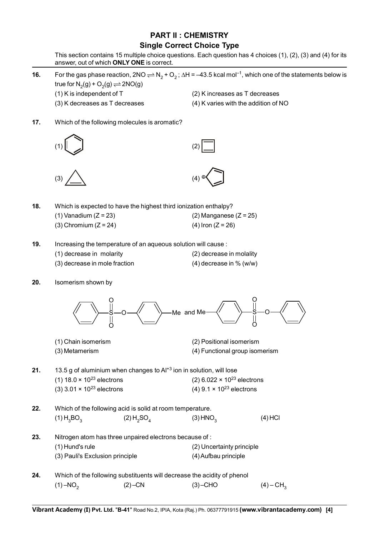## **PART II : CHEMISTRY**

### **Single Correct Choice Type**

This section contains 15 multiple choice questions. Each question has 4 choices (1), (2), (3) and (4) for its answer, out of which **ONLY ONE** is correct.

- **16.** For the gas phase reaction, 2NO  $\rightleftharpoons$  N<sub>2</sub> + O<sub>2</sub>;  $\Delta H = -43.5$  kcal mol<sup>-1</sup>, which one of the statements below is true for  $N_2(g) + O_2(g) \rightleftharpoons 2NO(g)$ 
	-
	-
	- (1) K is independent of T (2) K increases as T decreases
	- (3) K decreases as T decreases (4) K varies with the addition of NO
- **17.** Which of the following molecules is aromatic?









**18.** Which is expected to have the highest third ionization enthalpy?

- (1) Vanadium  $(Z = 23)$  (2) Manganese  $(Z = 25)$ (3) Chromium ( $Z = 24$ ) (4) Iron ( $Z = 26$ )
- **19.** Increasing the temperature of an aqueous solution will cause :
	- (1) decrease in molarity (2) decrease in molality
	- (3) decrease in mole fraction (4) decrease in % (w/w)
- -

**20.** Isomerism shown by



- (1) Chain isomerism (2) Positional isomerism
- (3) Metamerism (4) Functional group isomerism
- **21.** 13.5 g of aluminium when changes to Al<sup>+3</sup> ion in solution, will lose (1)  $18.0 \times 10^{23}$  electrons (2)  $6.022 \times 10^{23}$  electrons (3)  $3.01 \times 10^{23}$  electrons (4)  $9.1 \times 10^{23}$  electrons
- **22.** Which of the following acid is solid at room temperature. (1)  $H_3BO_3$  (2)  $H_2SO_4$  (3) HNO<sub>3</sub> (4) HCl **23.** Nitrogen atom has three unpaired electrons because of : (1) Hund's rule (2) Uncertainty principle (3) Pauli's Exclusion principle (4) Aufbau principle
- **24.** Which of the following substituents will decrease the acidity of phenol (1) –NO<sub>2</sub> (2) –CN (3) –CHO (4) – CH<sub>3</sub>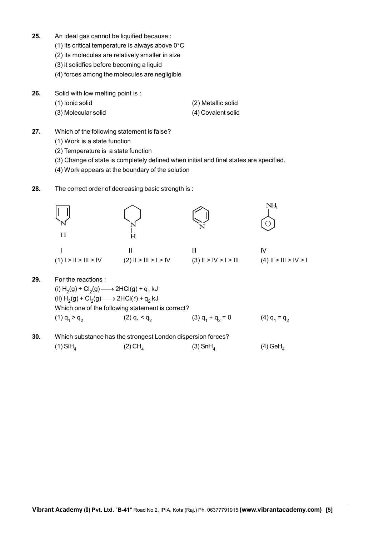- **25.** An ideal gas cannot be liquified because :
	- (1) its critical temperature is always above 0°C
	- (2) its molecules are relatively smaller in size
	- (3) it solidfies before becoming a liquid
	- (4) forces among the molecules are negligible
- **26.** Solid with low melting point is :
	- (1) Ionic solid (2) Metallic solid
	- (3) Molecular solid (4) Covalent solid
- **27.** Which of the following statement is false?
	- (1) Work is a state function
	- (2) Temperature is a state function
	- (3) Change of state is completely defined when initial and final states are specified.
	- (4) Work appears at the boundary of the solution
- **28.** The correct order of decreasing basic strength is :



(1) SiH<sub>4</sub> (2) CH<sub>4</sub> (3) SnH<sub>4</sub> (4) GeH<sub>4</sub>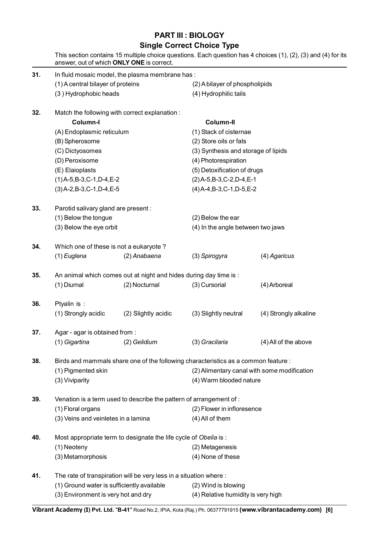## **PART III : BIOLOGY**

### **Single Correct Choice Type**

|     |                                                                   | answer, out of which ONLY ONE is correct.                          |                                                                                    | This section contains 15 multiple choice questions. Each question has 4 choices (1), (2), (3) and (4) for its |  |  |  |  |  |  |
|-----|-------------------------------------------------------------------|--------------------------------------------------------------------|------------------------------------------------------------------------------------|---------------------------------------------------------------------------------------------------------------|--|--|--|--|--|--|
| 31. | In fluid mosaic model, the plasma membrane has:                   |                                                                    |                                                                                    |                                                                                                               |  |  |  |  |  |  |
|     | (1) A central bilayer of proteins                                 |                                                                    |                                                                                    | (2) A bilayer of phospholipids                                                                                |  |  |  |  |  |  |
|     | (3) Hydrophobic heads                                             |                                                                    | (4) Hydrophilic tails                                                              |                                                                                                               |  |  |  |  |  |  |
| 32. |                                                                   | Match the following with correct explanation :                     |                                                                                    |                                                                                                               |  |  |  |  |  |  |
|     | Column-I                                                          |                                                                    | Column-II                                                                          |                                                                                                               |  |  |  |  |  |  |
|     | (A) Endoplasmic reticulum                                         |                                                                    | (1) Stack of cisternae                                                             |                                                                                                               |  |  |  |  |  |  |
|     | (B) Spherosome                                                    |                                                                    | (2) Store oils or fats                                                             |                                                                                                               |  |  |  |  |  |  |
|     | (C) Dictyosomes                                                   |                                                                    | (3) Synthesis and storage of lipids                                                |                                                                                                               |  |  |  |  |  |  |
|     | (D) Peroxisome                                                    |                                                                    | (4) Photorespiration                                                               |                                                                                                               |  |  |  |  |  |  |
|     | (E) Elaioplasts                                                   |                                                                    | (5) Detoxification of drugs                                                        |                                                                                                               |  |  |  |  |  |  |
|     | $(1)$ A-5, B-3, C-1, D-4, E-2                                     |                                                                    | $(2)$ A-5,B-3,C-2,D-4,E-1                                                          |                                                                                                               |  |  |  |  |  |  |
|     | $(3)$ A-2, B-3, C-1, D-4, E-5                                     |                                                                    | $(4)$ A-4,B-3,C-1,D-5,E-2                                                          |                                                                                                               |  |  |  |  |  |  |
| 33. | Parotid salivary gland are present:                               |                                                                    |                                                                                    |                                                                                                               |  |  |  |  |  |  |
|     | (1) Below the tongue                                              |                                                                    | (2) Below the ear                                                                  |                                                                                                               |  |  |  |  |  |  |
|     | (3) Below the eye orbit                                           |                                                                    | (4) In the angle between two jaws                                                  |                                                                                                               |  |  |  |  |  |  |
| 34. | Which one of these is not a eukaryote?                            |                                                                    |                                                                                    |                                                                                                               |  |  |  |  |  |  |
|     | $(1)$ Euglena                                                     | (2) Anabaena                                                       | (3) Spirogyra                                                                      | (4) Agaricus                                                                                                  |  |  |  |  |  |  |
| 35. | An animal which comes out at night and hides during day time is : |                                                                    |                                                                                    |                                                                                                               |  |  |  |  |  |  |
|     | (1) Diurnal                                                       | (2) Nocturnal                                                      | (3) Cursorial                                                                      | (4) Arboreal                                                                                                  |  |  |  |  |  |  |
| 36. | Ptyalin is :                                                      |                                                                    |                                                                                    |                                                                                                               |  |  |  |  |  |  |
|     | (1) Strongly acidic                                               | (2) Slightly acidic                                                | (3) Slightly neutral                                                               | (4) Strongly alkaline                                                                                         |  |  |  |  |  |  |
| 37. | Agar - agar is obtained from :                                    |                                                                    |                                                                                    |                                                                                                               |  |  |  |  |  |  |
|     | (1) Gigartina                                                     | (2) Gelidium                                                       | (3) Gracilaria                                                                     | (4) All of the above                                                                                          |  |  |  |  |  |  |
| 38. |                                                                   |                                                                    | Birds and mammals share one of the following characteristics as a common feature : |                                                                                                               |  |  |  |  |  |  |
|     | (1) Pigmented skin                                                |                                                                    | (2) Alimentary canal with some modification                                        |                                                                                                               |  |  |  |  |  |  |
|     | (3) Viviparity                                                    |                                                                    | (4) Warm blooded nature                                                            |                                                                                                               |  |  |  |  |  |  |
| 39. |                                                                   | Venation is a term used to describe the pattern of arrangement of: |                                                                                    |                                                                                                               |  |  |  |  |  |  |
|     | (1) Floral organs                                                 |                                                                    | (2) Flower in infloresence                                                         |                                                                                                               |  |  |  |  |  |  |
|     | (3) Veins and veinletes in a lamina                               |                                                                    | (4) All of them                                                                    |                                                                                                               |  |  |  |  |  |  |
| 40. |                                                                   | Most appropriate term to designate the life cycle of Obelia is :   |                                                                                    |                                                                                                               |  |  |  |  |  |  |
|     | (1) Neoteny                                                       |                                                                    | (2) Metagenesis                                                                    |                                                                                                               |  |  |  |  |  |  |
|     | (3) Metamorphosis                                                 |                                                                    | (4) None of these                                                                  |                                                                                                               |  |  |  |  |  |  |
| 41. |                                                                   | The rate of transpiration will be very less in a situation where : |                                                                                    |                                                                                                               |  |  |  |  |  |  |
|     | (1) Ground water is sufficiently available                        |                                                                    | (2) Wind is blowing                                                                |                                                                                                               |  |  |  |  |  |  |
|     | (3) Environment is very hot and dry                               |                                                                    |                                                                                    | (4) Relative humidity is very high                                                                            |  |  |  |  |  |  |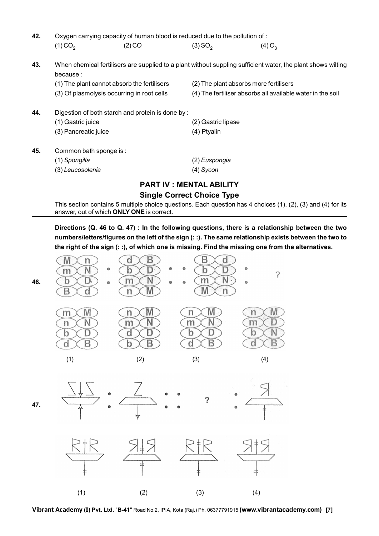| 42. | Oxygen carrying capacity of human blood is reduced due to the pollution of:                                              |                                                  |                                        |                                                            |  |  |  |  |  |
|-----|--------------------------------------------------------------------------------------------------------------------------|--------------------------------------------------|----------------------------------------|------------------------------------------------------------|--|--|--|--|--|
|     | $(1)$ CO <sub>2</sub>                                                                                                    | (2) CO                                           | $(3)$ SO <sub>2</sub>                  | $(4)$ O <sub>3</sub>                                       |  |  |  |  |  |
| 43. | When chemical fertilisers are supplied to a plant without suppling sufficient water, the plant shows wilting<br>because: |                                                  |                                        |                                                            |  |  |  |  |  |
|     | (1) The plant cannot absorb the fertilisers                                                                              |                                                  | (2) The plant absorbs more fertilisers |                                                            |  |  |  |  |  |
|     | (3) Of plasmolysis occurring in root cells                                                                               |                                                  |                                        | (4) The fertiliser absorbs all available water in the soil |  |  |  |  |  |
| 44. |                                                                                                                          | Digestion of both starch and protein is done by: |                                        |                                                            |  |  |  |  |  |
|     | (1) Gastric juice                                                                                                        |                                                  | (2) Gastric lipase                     |                                                            |  |  |  |  |  |
|     | (3) Pancreatic juice                                                                                                     |                                                  | (4) Ptyalin                            |                                                            |  |  |  |  |  |
| 45. | Common bath sponge is:                                                                                                   |                                                  |                                        |                                                            |  |  |  |  |  |
|     | (1) Spongilla                                                                                                            |                                                  | (2) Euspongia                          |                                                            |  |  |  |  |  |
|     | (3) Leucosolenia                                                                                                         |                                                  | $(4)$ Sycon                            |                                                            |  |  |  |  |  |

## **PART IV : MENTAL ABILITY Single Correct Choice Type**

This section contains 5 multiple choice questions. Each question has 4 choices (1), (2), (3) and (4) for its answer, out of which **ONLY ONE** is correct.

**Directions (Q. 46 to Q. 47) : In the following questions, there is a relationship between the two numbers/letters/figures on the left of the sign (: :). The same relationship exists between the two to the right of the sign (: :), of which one is missing. Find the missing one from the alternatives.**